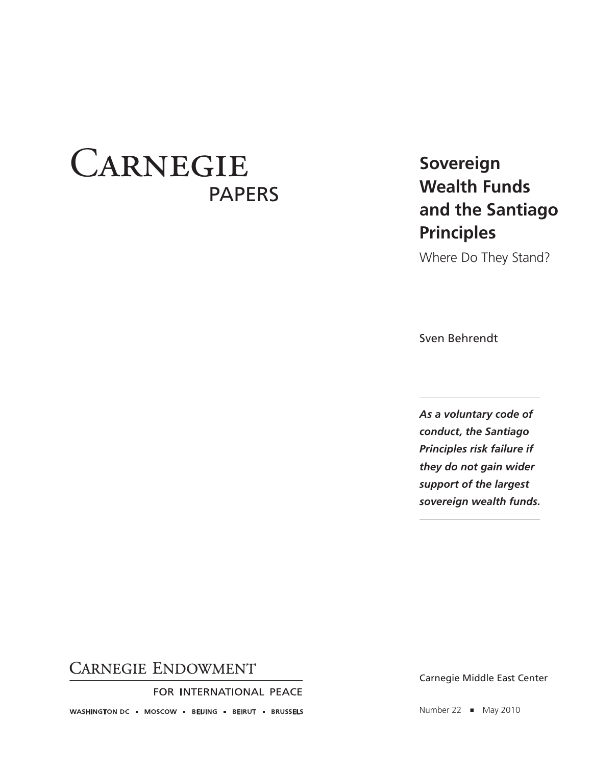# **CARNEGIE** PAPERS

## **Sovereign Wealth Funds and the Santiago Principles**

Where Do They Stand?

Sven Behrendt

*As a voluntary code of conduct, the Santiago Principles risk failure if they do not gain wider support of the largest sovereign wealth funds.*

## **CARNEGIE ENDOWMENT**

FOR INTERNATIONAL PEACE

WASHINGTON DC · MOSCOW · BEIJING · BEIRUT · BRUSSELS

Carnegie Middle East Center

Number 22 ■ May 2010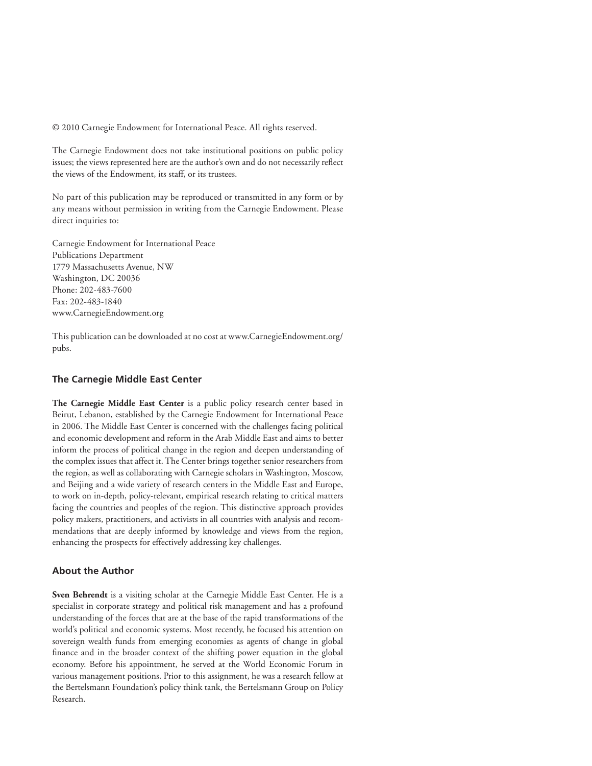© 2010 Carnegie Endowment for International Peace. All rights reserved.

The Carnegie Endowment does not take institutional positions on public policy issues; the views represented here are the author's own and do not necessarily reflect the views of the Endowment, its staff, or its trustees.

No part of this publication may be reproduced or transmitted in any form or by any means without permission in writing from the Carnegie Endowment. Please direct inquiries to:

Carnegie Endowment for International Peace Publications Department 1779 Massachusetts Avenue, NW Washington, DC 20036 Phone: 202-483-7600 Fax: 202-483-1840 www.CarnegieEndowment.org

This publication can be downloaded at no cost at www.CarnegieEndowment.org/ pubs.

#### **The Carnegie Middle East Center**

**The Carnegie Middle East Center** is a public policy research center based in Beirut, Lebanon, established by the Carnegie Endowment for International Peace in 2006. The Middle East Center is concerned with the challenges facing political and economic development and reform in the Arab Middle East and aims to better inform the process of political change in the region and deepen understanding of the complex issues that affect it. The Center brings together senior researchers from the region, as well as collaborating with Carnegie scholars in Washington, Moscow, and Beijing and a wide variety of research centers in the Middle East and Europe, to work on in-depth, policy-relevant, empirical research relating to critical matters facing the countries and peoples of the region. This distinctive approach provides policy makers, practitioners, and activists in all countries with analysis and recommendations that are deeply informed by knowledge and views from the region, enhancing the prospects for effectively addressing key challenges.

#### **About the Author**

**Sven Behrendt** is a visiting scholar at the Carnegie Middle East Center. He is a specialist in corporate strategy and political risk management and has a profound understanding of the forces that are at the base of the rapid transformations of the world's political and economic systems. Most recently, he focused his attention on sovereign wealth funds from emerging economies as agents of change in global finance and in the broader context of the shifting power equation in the global economy. Before his appointment, he served at the World Economic Forum in various management positions. Prior to this assignment, he was a research fellow at the Bertelsmann Foundation's policy think tank, the Bertelsmann Group on Policy Research.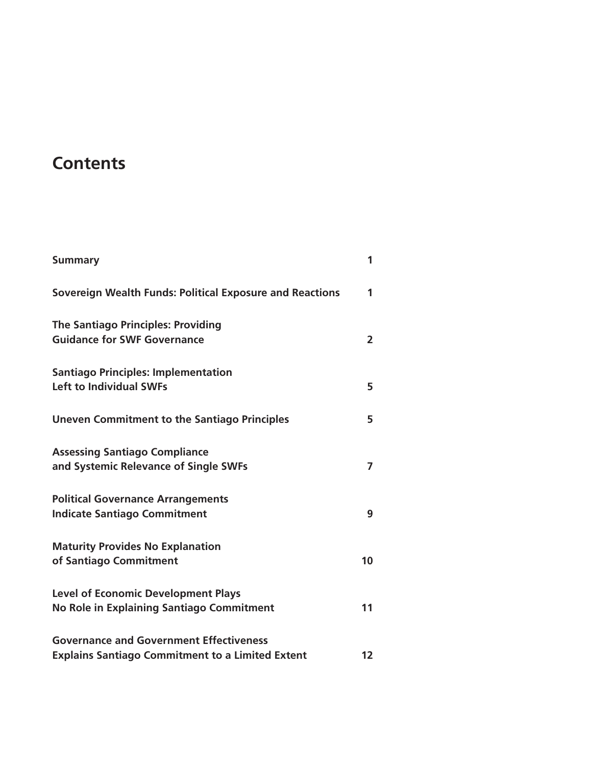## **Contents**

| <b>Summary</b>                                                                                            | 1              |
|-----------------------------------------------------------------------------------------------------------|----------------|
| Sovereign Wealth Funds: Political Exposure and Reactions                                                  | 1              |
| <b>The Santiago Principles: Providing</b><br><b>Guidance for SWF Governance</b>                           | $\overline{2}$ |
| <b>Santiago Principles: Implementation</b><br><b>Left to Individual SWFs</b>                              | 5              |
| <b>Uneven Commitment to the Santiago Principles</b>                                                       | 5              |
| <b>Assessing Santiago Compliance</b><br>and Systemic Relevance of Single SWFs                             | 7              |
| <b>Political Governance Arrangements</b><br><b>Indicate Santiago Commitment</b>                           | 9              |
| <b>Maturity Provides No Explanation</b><br>of Santiago Commitment                                         | 10             |
| <b>Level of Economic Development Plays</b><br>No Role in Explaining Santiago Commitment                   | 11             |
| <b>Governance and Government Effectiveness</b><br><b>Explains Santiago Commitment to a Limited Extent</b> | 12             |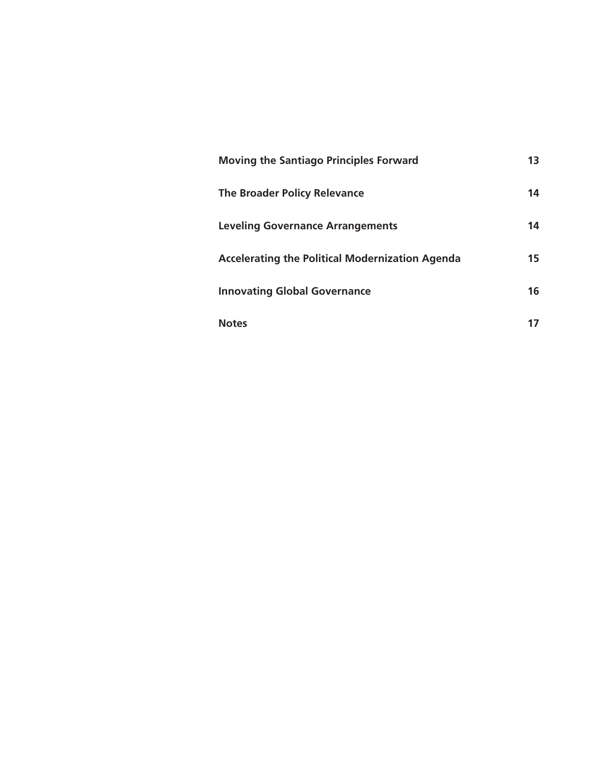| <b>Moving the Santiago Principles Forward</b>          | 13 |
|--------------------------------------------------------|----|
| <b>The Broader Policy Relevance</b>                    | 14 |
| <b>Leveling Governance Arrangements</b>                | 14 |
| <b>Accelerating the Political Modernization Agenda</b> | 15 |
| <b>Innovating Global Governance</b>                    | 16 |
| <b>Notes</b>                                           |    |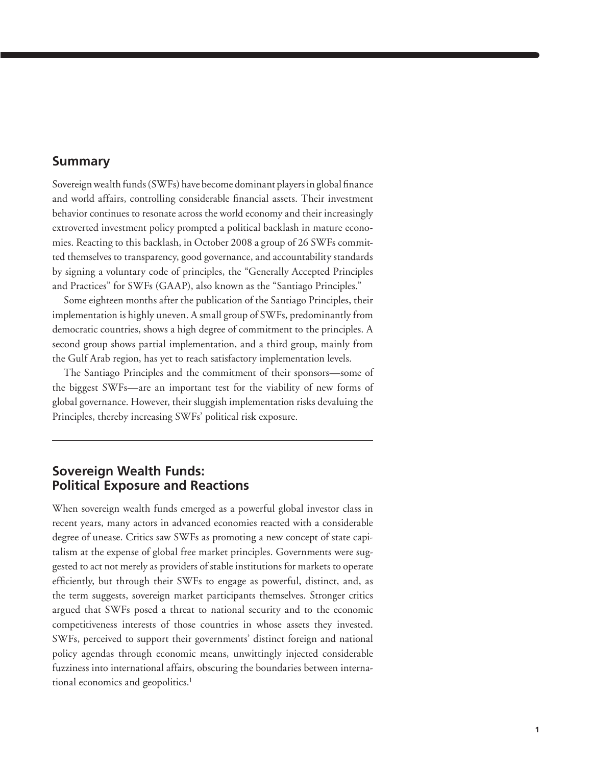#### **Summary**

Sovereign wealth funds (SWFs) have become dominant players in global finance and world affairs, controlling considerable financial assets. Their investment behavior continues to resonate across the world economy and their increasingly extroverted investment policy prompted a political backlash in mature economies. Reacting to this backlash, in October 2008 a group of 26 SWFs committed themselves to transparency, good governance, and accountability standards by signing a voluntary code of principles, the "Generally Accepted Principles and Practices" for SWFs (GAAP), also known as the "Santiago Principles."

Some eighteen months after the publication of the Santiago Principles, their implementation is highly uneven. A small group of SWFs, predominantly from democratic countries, shows a high degree of commitment to the principles. A second group shows partial implementation, and a third group, mainly from the Gulf Arab region, has yet to reach satisfactory implementation levels.

The Santiago Principles and the commitment of their sponsors—some of the biggest SWFs—are an important test for the viability of new forms of global governance. However, their sluggish implementation risks devaluing the Principles, thereby increasing SWFs' political risk exposure.

## **Sovereign Wealth Funds: Political Exposure and Reactions**

When sovereign wealth funds emerged as a powerful global investor class in recent years, many actors in advanced economies reacted with a considerable degree of unease. Critics saw SWFs as promoting a new concept of state capitalism at the expense of global free market principles. Governments were suggested to act not merely as providers of stable institutions for markets to operate efficiently, but through their SWFs to engage as powerful, distinct, and, as the term suggests, sovereign market participants themselves. Stronger critics argued that SWFs posed a threat to national security and to the economic competitiveness interests of those countries in whose assets they invested. SWFs, perceived to support their governments' distinct foreign and national policy agendas through economic means, unwittingly injected considerable fuzziness into international affairs, obscuring the boundaries between international economics and geopolitics.<sup>1</sup>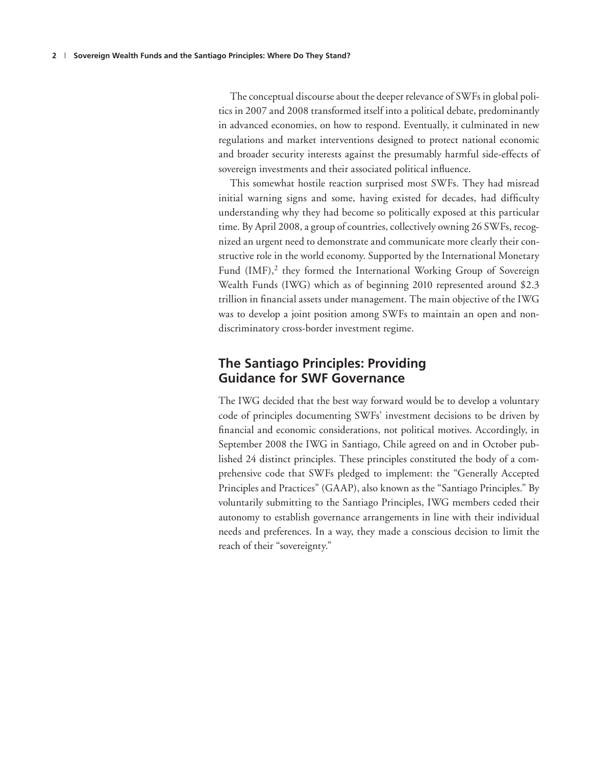The conceptual discourse about the deeper relevance of SWFs in global politics in 2007 and 2008 transformed itself into a political debate, predominantly in advanced economies, on how to respond. Eventually, it culminated in new regulations and market interventions designed to protect national economic and broader security interests against the presumably harmful side-effects of sovereign investments and their associated political influence.

This somewhat hostile reaction surprised most SWFs. They had misread initial warning signs and some, having existed for decades, had difficulty understanding why they had become so politically exposed at this particular time. By April 2008, a group of countries, collectively owning 26 SWFs, recognized an urgent need to demonstrate and communicate more clearly their constructive role in the world economy. Supported by the International Monetary Fund  $(MF)$ ,<sup>2</sup> they formed the International Working Group of Sovereign Wealth Funds (IWG) which as of beginning 2010 represented around \$2.3 trillion in financial assets under management. The main objective of the IWG was to develop a joint position among SWFs to maintain an open and nondiscriminatory cross-border investment regime.

### **The Santiago Principles: Providing Guidance for SWF Governance**

The IWG decided that the best way forward would be to develop a voluntary code of principles documenting SWFs' investment decisions to be driven by financial and economic considerations, not political motives. Accordingly, in September 2008 the IWG in Santiago, Chile agreed on and in October published 24 distinct principles. These principles constituted the body of a comprehensive code that SWFs pledged to implement: the "Generally Accepted Principles and Practices" (GAAP), also known as the "Santiago Principles." By voluntarily submitting to the Santiago Principles, IWG members ceded their autonomy to establish governance arrangements in line with their individual needs and preferences. In a way, they made a conscious decision to limit the reach of their "sovereignty."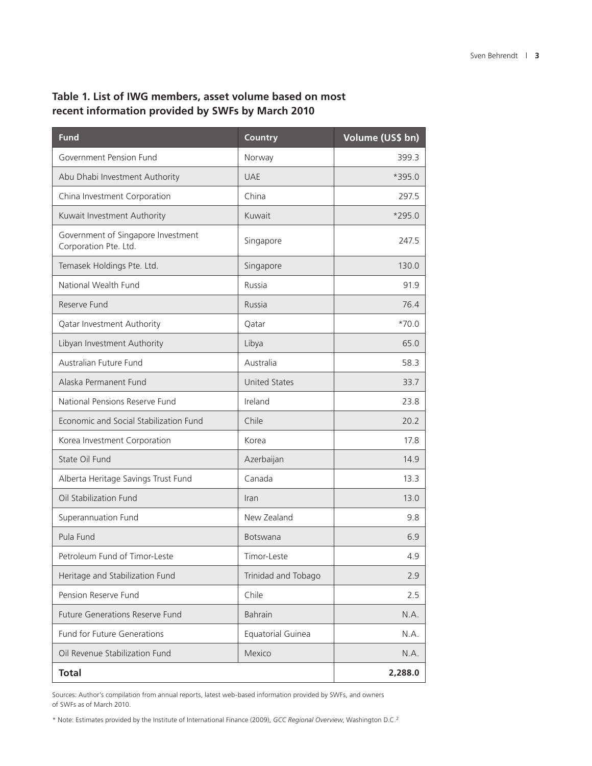## **Table 1. List of IWG members, asset volume based on most recent information provided by SWFs by March 2010**

| <b>Fund</b>                                                 | Country              | Volume (US\$ bn) |
|-------------------------------------------------------------|----------------------|------------------|
| Government Pension Fund                                     | Norway               | 399.3            |
| Abu Dhabi Investment Authority                              | <b>UAE</b>           | *395.0           |
| China Investment Corporation                                | China                | 297.5            |
| Kuwait Investment Authority                                 | Kuwait               | $*295.0$         |
| Government of Singapore Investment<br>Corporation Pte. Ltd. | Singapore            | 247.5            |
| Temasek Holdings Pte. Ltd.                                  | Singapore            | 130.0            |
| National Wealth Fund                                        | Russia               | 91.9             |
| Reserve Fund                                                | Russia               | 76.4             |
| Qatar Investment Authority                                  | Qatar                | $*70.0$          |
| Libyan Investment Authority                                 | Libya                | 65.0             |
| Australian Future Fund                                      | Australia            | 58.3             |
| Alaska Permanent Fund                                       | <b>United States</b> | 33.7             |
| National Pensions Reserve Fund                              | Ireland              | 23.8             |
| Economic and Social Stabilization Fund                      | Chile                | 20.2             |
| Korea Investment Corporation                                | Korea                | 17.8             |
| State Oil Fund                                              | Azerbaijan           | 14.9             |
| Alberta Heritage Savings Trust Fund                         | Canada               | 13.3             |
| Oil Stabilization Fund                                      | Iran                 | 13.0             |
| Superannuation Fund                                         | New Zealand          | 9.8              |
| Pula Fund                                                   | <b>Botswana</b>      | 6.9              |
| Petroleum Fund of Timor-Leste                               | Timor-Leste          | 4.9              |
| Heritage and Stabilization Fund                             | Trinidad and Tobago  | 2.9              |
| Pension Reserve Fund                                        | Chile                | 2.5              |
| <b>Future Generations Reserve Fund</b>                      | <b>Bahrain</b>       | N.A.             |
| <b>Fund for Future Generations</b>                          | Equatorial Guinea    | N.A.             |
| Oil Revenue Stabilization Fund                              | Mexico               | N.A.             |
| <b>Total</b>                                                |                      | 2,288.0          |

Sources: Author's compilation from annual reports, latest web-based information provided by SWFs, and owners of SWFs as of March 2010.

\* Note: Estimates provided by the Institute of International Finance (2009), *GCC Regional Overview*, Washington D.C.2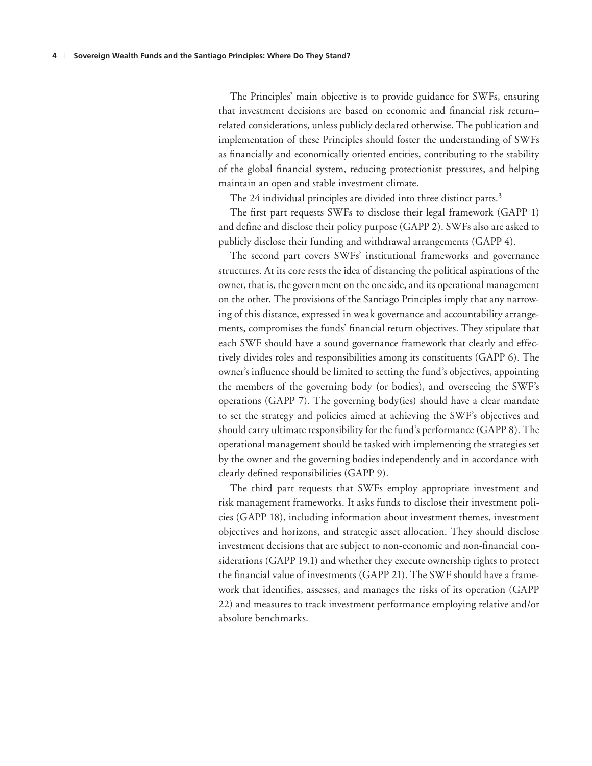The Principles' main objective is to provide guidance for SWFs, ensuring that investment decisions are based on economic and financial risk returnrelated considerations, unless publicly declared otherwise. The publication and implementation of these Principles should foster the understanding of SWFs as financially and economically oriented entities, contributing to the stability of the global financial system, reducing protectionist pressures, and helping maintain an open and stable investment climate.

The 24 individual principles are divided into three distinct parts.<sup>3</sup>

The first part requests SWFs to disclose their legal framework (GAPP 1) and define and disclose their policy purpose (GAPP 2). SWFs also are asked to publicly disclose their funding and withdrawal arrangements (GAPP 4).

The second part covers SWFs' institutional frameworks and governance structures. At its core rests the idea of distancing the political aspirations of the owner, that is, the government on the one side, and its operational management on the other. The provisions of the Santiago Principles imply that any narrowing of this distance, expressed in weak governance and accountability arrangements, compromises the funds' financial return objectives. They stipulate that each SWF should have a sound governance framework that clearly and effectively divides roles and responsibilities among its constituents (GAPP 6). The owner's influence should be limited to setting the fund's objectives, appointing the members of the governing body (or bodies), and overseeing the SWF's operations (GAPP 7). The governing body(ies) should have a clear mandate to set the strategy and policies aimed at achieving the SWF's objectives and should carry ultimate responsibility for the fund's performance (GAPP 8). The operational management should be tasked with implementing the strategies set by the owner and the governing bodies independently and in accordance with clearly defined responsibilities (GAPP 9).

The third part requests that SWFs employ appropriate investment and risk management frameworks. It asks funds to disclose their investment policies (GAPP 18), including information about investment themes, investment objectives and horizons, and strategic asset allocation. They should disclose investment decisions that are subject to non-economic and non-financial considerations (GAPP 19.1) and whether they execute ownership rights to protect the financial value of investments (GAPP 21). The SWF should have a framework that identifies, assesses, and manages the risks of its operation (GAPP 22) and measures to track investment performance employing relative and/or absolute benchmarks.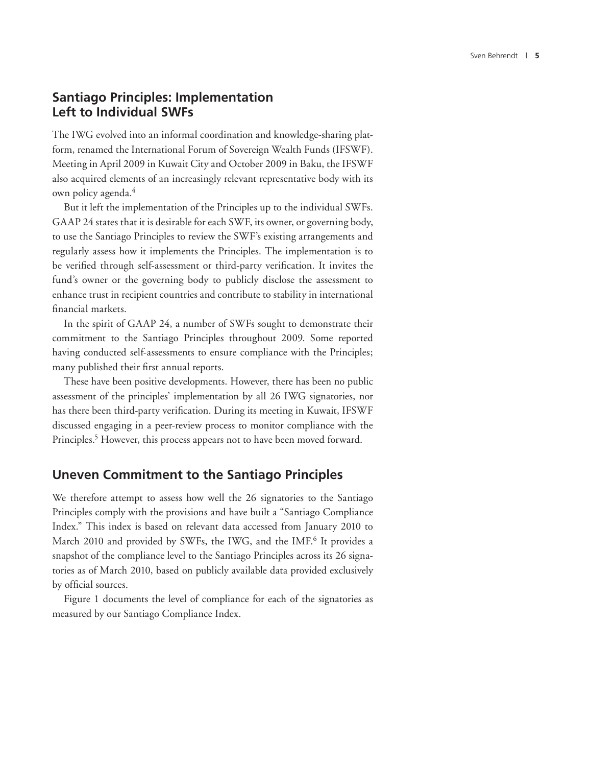## **Santiago Principles: Implementation Left to Individual SWFs**

The IWG evolved into an informal coordination and knowledge-sharing platform, renamed the International Forum of Sovereign Wealth Funds (IFSWF). Meeting in April 2009 in Kuwait City and October 2009 in Baku, the IFSWF also acquired elements of an increasingly relevant representative body with its own policy agenda.4

But it left the implementation of the Principles up to the individual SWFs. GAAP 24 states that it is desirable for each SWF, its owner, or governing body, to use the Santiago Principles to review the SWF's existing arrangements and regularly assess how it implements the Principles. The implementation is to be verified through self-assessment or third-party verification. It invites the fund's owner or the governing body to publicly disclose the assessment to enhance trust in recipient countries and contribute to stability in international financial markets.

In the spirit of GAAP 24, a number of SWFs sought to demonstrate their commitment to the Santiago Principles throughout 2009. Some reported having conducted self-assessments to ensure compliance with the Principles; many published their first annual reports.

These have been positive developments. However, there has been no public assessment of the principles' implementation by all 26 IWG signatories, nor has there been third-party verification. During its meeting in Kuwait, IFSWF discussed engaging in a peer-review process to monitor compliance with the Principles.<sup>5</sup> However, this process appears not to have been moved forward.

## **Uneven Commitment to the Santiago Principles**

We therefore attempt to assess how well the 26 signatories to the Santiago Principles comply with the provisions and have built a "Santiago Compliance Index." This index is based on relevant data accessed from January 2010 to March 2010 and provided by SWFs, the IWG, and the IMF.<sup>6</sup> It provides a snapshot of the compliance level to the Santiago Principles across its 26 signatories as of March 2010, based on publicly available data provided exclusively by official sources.

Figure 1 documents the level of compliance for each of the signatories as measured by our Santiago Compliance Index.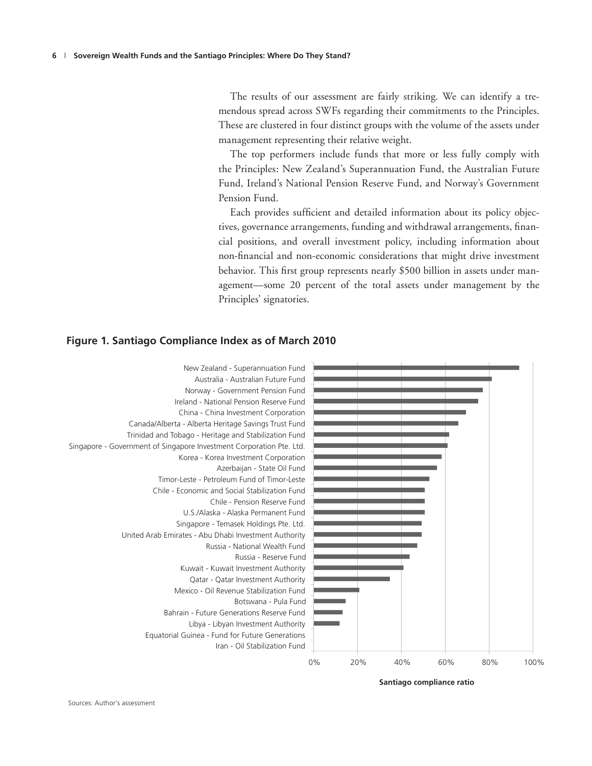The results of our assessment are fairly striking. We can identify a tremendous spread across SWFs regarding their commitments to the Principles. These are clustered in four distinct groups with the volume of the assets under management representing their relative weight.

The top performers include funds that more or less fully comply with the Principles: New Zealand's Superannuation Fund, the Australian Future Fund, Ireland's National Pension Reserve Fund, and Norway's Government Pension Fund.

Each provides sufficient and detailed information about its policy objectives, governance arrangements, funding and withdrawal arrangements, financial positions, and overall investment policy, including information about non-financial and non-economic considerations that might drive investment behavior. This first group represents nearly \$500 billion in assets under management—some 20 percent of the total assets under management by the Principles' signatories.

#### 0% 20% 40% 60% 80% 100% New Zealand - Superannuation Fund Australia - Australian Future Fund Norway - Government Pension Fund Ireland - National Pension Reserve Fund China - China Investment Corporation Canada/Alberta - Alberta Heritage Savings Trust Fund Trinidad and Tobago - Heritage and Stabilization Fund Singapore - Government of Singapore Investment Corporation Pte. Ltd. Korea - Korea Investment Corporation Azerbaijan - State Oil Fund Timor-Leste - Petroleum Fund of Timor-Leste Chile - Economic and Social Stabilization Fund Chile - Pension Reserve Fund U.S./Alaska - Alaska Permanent Fund Singapore - Temasek Holdings Pte. Ltd. United Arab Emirates - Abu Dhabi Investment Authority Russia - National Wealth Fund Russia - Reserve Fund Kuwait - Kuwait Investment Authority Qatar - Qatar Investment Authority Mexico - Oil Revenue Stabilization Fund Botswana - Pula Fund Bahrain - Future Generations Reserve Fund Libya - Libyan Investment Authority Equatorial Guinea - Fund for Future Generations Iran - Oil Stabilization Fund

#### **Figure 1. Santiago Compliance Index as of March 2010**

**Santiago compliance ratio**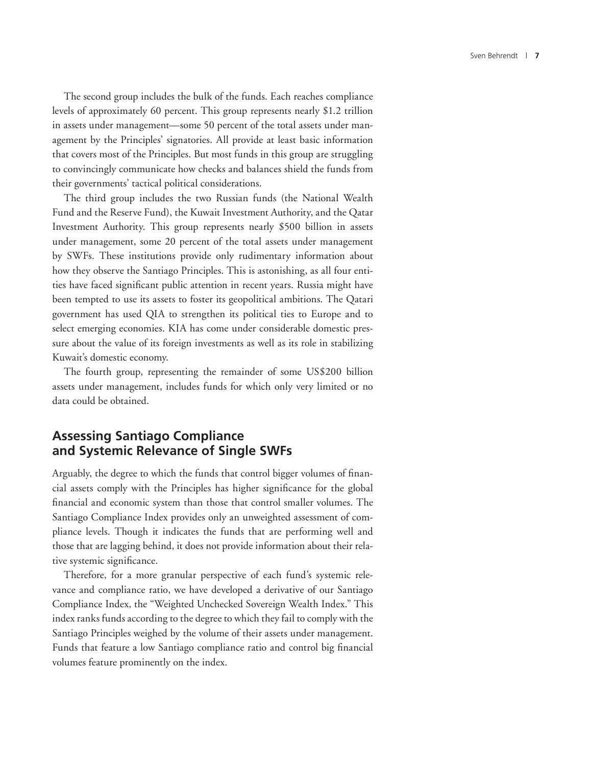The second group includes the bulk of the funds. Each reaches compliance levels of approximately 60 percent. This group represents nearly \$1.2 trillion in assets under management—some 50 percent of the total assets under management by the Principles' signatories. All provide at least basic information that covers most of the Principles. But most funds in this group are struggling to convincingly communicate how checks and balances shield the funds from their governments' tactical political considerations.

The third group includes the two Russian funds (the National Wealth Fund and the Reserve Fund), the Kuwait Investment Authority, and the Qatar Investment Authority. This group represents nearly \$500 billion in assets under management, some 20 percent of the total assets under management by SWFs. These institutions provide only rudimentary information about how they observe the Santiago Principles. This is astonishing, as all four entities have faced significant public attention in recent years. Russia might have been tempted to use its assets to foster its geopolitical ambitions. The Qatari government has used QIA to strengthen its political ties to Europe and to select emerging economies. KIA has come under considerable domestic pressure about the value of its foreign investments as well as its role in stabilizing Kuwait's domestic economy.

The fourth group, representing the remainder of some US\$200 billion assets under management, includes funds for which only very limited or no data could be obtained.

## **Assessing Santiago Compliance and Systemic Relevance of Single SWFs**

Arguably, the degree to which the funds that control bigger volumes of financial assets comply with the Principles has higher significance for the global financial and economic system than those that control smaller volumes. The Santiago Compliance Index provides only an unweighted assessment of compliance levels. Though it indicates the funds that are performing well and those that are lagging behind, it does not provide information about their relative systemic significance.

Therefore, for a more granular perspective of each fund's systemic relevance and compliance ratio, we have developed a derivative of our Santiago Compliance Index, the "Weighted Unchecked Sovereign Wealth Index." This index ranks funds according to the degree to which they fail to comply with the Santiago Principles weighed by the volume of their assets under management. Funds that feature a low Santiago compliance ratio and control big financial volumes feature prominently on the index.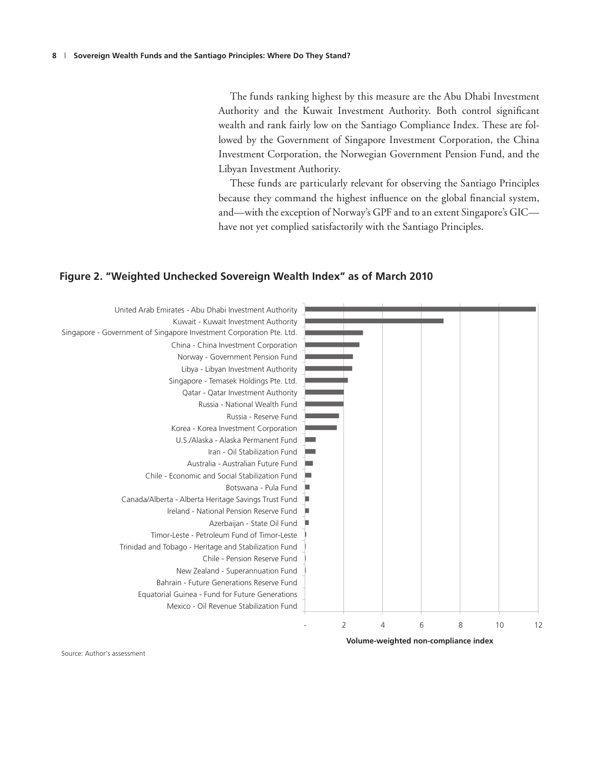The funds ranking highest by this measure are the Abu Dhabi Investment Authority and the Kuwait Investment Authority. Both control significant wealth and rank fairly low on the Santiago Compliance Index. These are followed by the Government of Singapore Investment Corporation, the China Investment Corporation, the Norwegian Government Pension Fund, and the Libyan Investment Authority.

These funds are particularly relevant for observing the Santiago Principles because they command the highest influence on the global financial system, and—with the exception of Norway's GPF and to an extent Singapore's GIC have not yet complied satisfactorily with the Santiago Principles.

#### **Figure 2. "Weighted Unchecked Sovereign Wealth Index" as of March 2010**



**Volume-weighted non-compliance index** 

Source: Author's assessment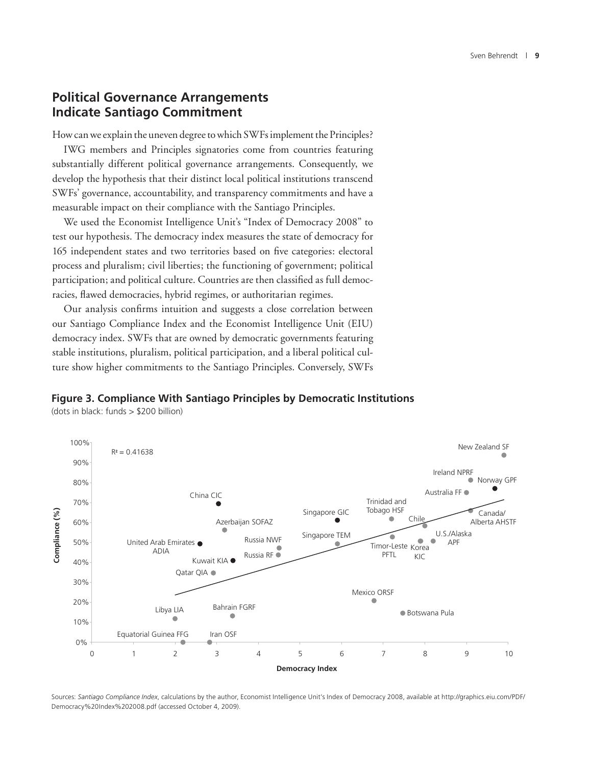## **Political Governance Arrangements Indicate Santiago Commitment**

How can we explain the uneven degree to which SWFs implement the Principles?

IWG members and Principles signatories come from countries featuring substantially different political governance arrangements. Consequently, we develop the hypothesis that their distinct local political institutions transcend SWFs' governance, accountability, and transparency commitments and have a measurable impact on their compliance with the Santiago Principles.

We used the Economist Intelligence Unit's "Index of Democracy 2008" to test our hypothesis. The democracy index measures the state of democracy for 165 independent states and two territories based on five categories: electoral process and pluralism; civil liberties; the functioning of government; political participation; and political culture. Countries are then classified as full democracies, flawed democracies, hybrid regimes, or authoritarian regimes.

Our analysis confirms intuition and suggests a close correlation between our Santiago Compliance Index and the Economist Intelligence Unit (EIU) democracy index. SWFs that are owned by democratic governments featuring stable institutions, pluralism, political participation, and a liberal political culture show higher commitments to the Santiago Principles. Conversely, SWFs

#### **Figure 3. Compliance With Santiago Principles by Democratic Institutions**

(dots in black: funds > \$200 billion)



Sources: *Santiago Compliance Index*, calculations by the author, Economist Intelligence Unit's Index of Democracy 2008, available at http://graphics.eiu.com/PDF/ Democracy%20Index%202008.pdf (accessed October 4, 2009).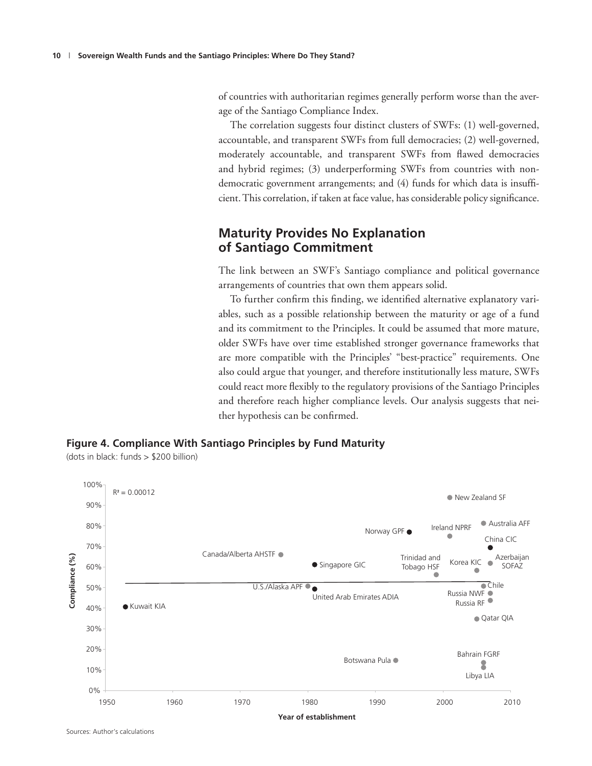of countries with authoritarian regimes generally perform worse than the average of the Santiago Compliance Index.

The correlation suggests four distinct clusters of SWFs: (1) well-governed, accountable, and transparent SWFs from full democracies; (2) well-governed, moderately accountable, and transparent SWFs from flawed democracies and hybrid regimes; (3) underperforming SWFs from countries with nondemocratic government arrangements; and (4) funds for which data is insufficient. This correlation, if taken at face value, has considerable policy significance.

## **Maturity Provides No Explanation of Santiago Commitment**

The link between an SWF's Santiago compliance and political governance arrangements of countries that own them appears solid.

To further confirm this finding, we identified alternative explanatory variables, such as a possible relationship between the maturity or age of a fund and its commitment to the Principles. It could be assumed that more mature, older SWFs have over time established stronger governance frameworks that are more compatible with the Principles' "best-practice" requirements. One also could argue that younger, and therefore institutionally less mature, SWFs could react more flexibly to the regulatory provisions of the Santiago Principles and therefore reach higher compliance levels. Our analysis suggests that neither hypothesis can be confirmed.

#### **Figure 4. Compliance With Santiago Principles by Fund Maturity**

(dots in black: funds > \$200 billion)

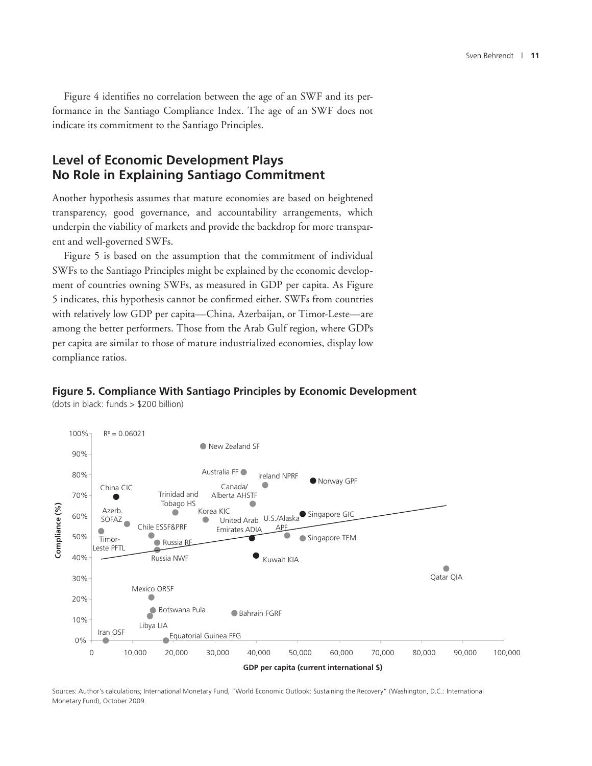Figure 4 identifies no correlation between the age of an SWF and its performance in the Santiago Compliance Index. The age of an SWF does not indicate its commitment to the Santiago Principles.

## **Level of Economic Development Plays No Role in Explaining Santiago Commitment**

Another hypothesis assumes that mature economies are based on heightened transparency, good governance, and accountability arrangements, which underpin the viability of markets and provide the backdrop for more transparent and well-governed SWFs.

Figure 5 is based on the assumption that the commitment of individual SWFs to the Santiago Principles might be explained by the economic development of countries owning SWFs, as measured in GDP per capita. As Figure 5 indicates, this hypothesis cannot be confirmed either. SWFs from countries with relatively low GDP per capita—China, Azerbaijan, or Timor-Leste—are among the better performers. Those from the Arab Gulf region, where GDPs per capita are similar to those of mature industrialized economies, display low compliance ratios.

#### **Figure 5. Compliance With Santiago Principles by Economic Development**

(dots in black: funds > \$200 billion)



Sources: Author's calculations; International Monetary Fund, "World Economic Outlook: Sustaining the Recovery" (Washington, D.C.: International Monetary Fund), October 2009.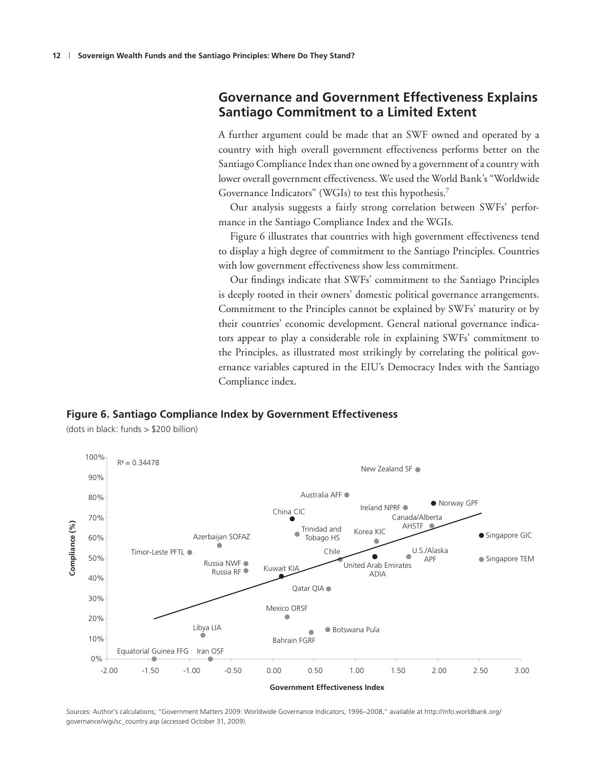## **Governance and Government Effectiveness Explains Santiago Commitment to a Limited Extent**

A further argument could be made that an SWF owned and operated by a country with high overall government effectiveness performs better on the Santiago Compliance Index than one owned by a government of a country with lower overall government effectiveness. We used the World Bank's "Worldwide Governance Indicators" (WGIs) to test this hypothesis.7

Our analysis suggests a fairly strong correlation between SWFs' performance in the Santiago Compliance Index and the WGIs.

Figure 6 illustrates that countries with high government effectiveness tend to display a high degree of commitment to the Santiago Principles. Countries with low government effectiveness show less commitment.

Our findings indicate that SWFs' commitment to the Santiago Principles is deeply rooted in their owners' domestic political governance arrangements. Commitment to the Principles cannot be explained by SWFs' maturity or by their countries' economic development. General national governance indicators appear to play a considerable role in explaining SWFs' commitment to the Principles, as illustrated most strikingly by correlating the political governance variables captured in the EIU's Democracy Index with the Santiago Compliance index.





(dots in black: funds > \$200 billion)

Sources: Author's calculations; "Government Matters 2009: Worldwide Governance Indicators, 1996–2008," available at http://info.worldbank.org/ governance/wgi/sc\_country.asp (accessed October 31, 2009).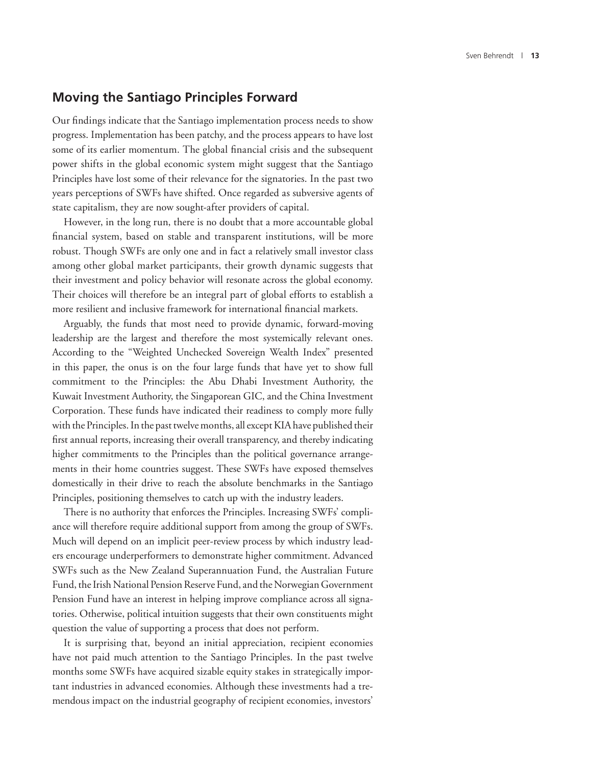#### **Moving the Santiago Principles Forward**

Our findings indicate that the Santiago implementation process needs to show progress. Implementation has been patchy, and the process appears to have lost some of its earlier momentum. The global financial crisis and the subsequent power shifts in the global economic system might suggest that the Santiago Principles have lost some of their relevance for the signatories. In the past two years perceptions of SWFs have shifted. Once regarded as subversive agents of state capitalism, they are now sought-after providers of capital.

However, in the long run, there is no doubt that a more accountable global financial system, based on stable and transparent institutions, will be more robust. Though SWFs are only one and in fact a relatively small investor class among other global market participants, their growth dynamic suggests that their investment and policy behavior will resonate across the global economy. Their choices will therefore be an integral part of global efforts to establish a more resilient and inclusive framework for international financial markets.

Arguably, the funds that most need to provide dynamic, forward-moving leadership are the largest and therefore the most systemically relevant ones. According to the "Weighted Unchecked Sovereign Wealth Index" presented in this paper, the onus is on the four large funds that have yet to show full commitment to the Principles: the Abu Dhabi Investment Authority, the Kuwait Investment Authority, the Singaporean GIC, and the China Investment Corporation. These funds have indicated their readiness to comply more fully with the Principles. In the past twelve months, all except KIA have published their first annual reports, increasing their overall transparency, and thereby indicating higher commitments to the Principles than the political governance arrangements in their home countries suggest. These SWFs have exposed themselves domestically in their drive to reach the absolute benchmarks in the Santiago Principles, positioning themselves to catch up with the industry leaders.

There is no authority that enforces the Principles. Increasing SWFs' compliance will therefore require additional support from among the group of SWFs. Much will depend on an implicit peer-review process by which industry leaders encourage underperformers to demonstrate higher commitment. Advanced SWFs such as the New Zealand Superannuation Fund, the Australian Future Fund, the Irish National Pension Reserve Fund, and the Norwegian Government Pension Fund have an interest in helping improve compliance across all signatories. Otherwise, political intuition suggests that their own constituents might question the value of supporting a process that does not perform.

It is surprising that, beyond an initial appreciation, recipient economies have not paid much attention to the Santiago Principles. In the past twelve months some SWFs have acquired sizable equity stakes in strategically important industries in advanced economies. Although these investments had a tremendous impact on the industrial geography of recipient economies, investors'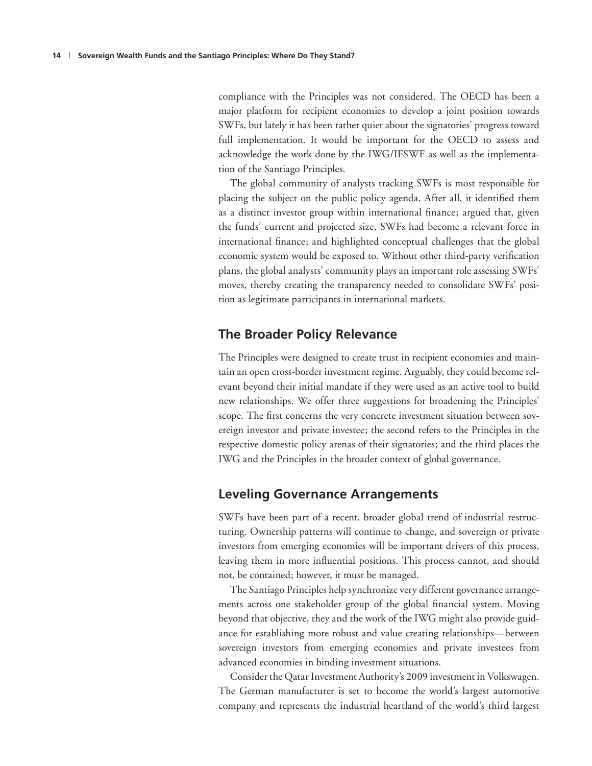compliance with the Principles was not considered. The OECD has been a major platform for recipient economies to develop a joint position towards SWFs, but lately it has been rather quiet about the signatories' progress toward full implementation. It would be important for the OECD to assess and acknowledge the work done by the IWG/IFSWF as well as the implementation of the Santiago Principles.

The global community of analysts tracking SWFs is most responsible for placing the subject on the public policy agenda. After all, it identified them as a distinct investor group within international finance; argued that, given the funds' current and projected size, SWFs had become a relevant force in international finance; and highlighted conceptual challenges that the global economic system would be exposed to. Without other third-party verification plans, the global analysts' community plays an important role assessing SWFs' moves, thereby creating the transparency needed to consolidate SWFs' position as legitimate participants in international markets.

### **The Broader Policy Relevance**

The Principles were designed to create trust in recipient economies and maintain an open cross-border investment regime. Arguably, they could become relevant beyond their initial mandate if they were used as an active tool to build new relationships. We offer three suggestions for broadening the Principles' scope. The first concerns the very concrete investment situation between sovereign investor and private investee; the second refers to the Principles in the respective domestic policy arenas of their signatories; and the third places the IWG and the Principles in the broader context of global governance.

#### **Leveling Governance Arrangements**

SWFs have been part of a recent, broader global trend of industrial restructuring. Ownership patterns will continue to change, and sovereign or private investors from emerging economies will be important drivers of this process, leaving them in more influential positions. This process cannot, and should not, be contained; however, it must be managed.

The Santiago Principles help synchronize very different governance arrangements across one stakeholder group of the global financial system. Moving beyond that objective, they and the work of the IWG might also provide guidance for establishing more robust and value creating relationships—between sovereign investors from emerging economies and private investees from advanced economies in binding investment situations.

Consider the Qatar Investment Authority's 2009 investment in Volkswagen. The German manufacturer is set to become the world's largest automotive company and represents the industrial heartland of the world's third largest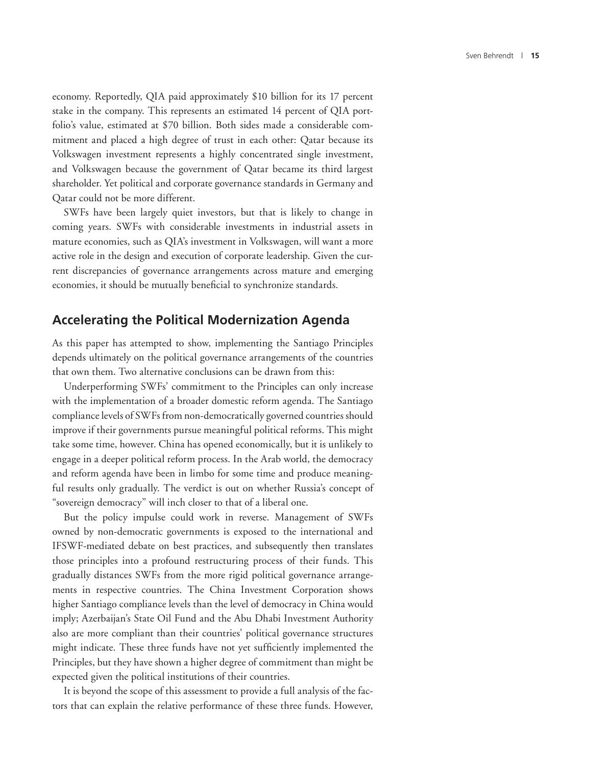economy. Reportedly, QIA paid approximately \$10 billion for its 17 percent stake in the company. This represents an estimated 14 percent of QIA portfolio's value, estimated at \$70 billion. Both sides made a considerable commitment and placed a high degree of trust in each other: Qatar because its Volkswagen investment represents a highly concentrated single investment, and Volkswagen because the government of Qatar became its third largest shareholder. Yet political and corporate governance standards in Germany and Qatar could not be more different.

SWFs have been largely quiet investors, but that is likely to change in coming years. SWFs with considerable investments in industrial assets in mature economies, such as QIA's investment in Volkswagen, will want a more active role in the design and execution of corporate leadership. Given the current discrepancies of governance arrangements across mature and emerging economies, it should be mutually beneficial to synchronize standards.

#### **Accelerating the Political Modernization Agenda**

As this paper has attempted to show, implementing the Santiago Principles depends ultimately on the political governance arrangements of the countries that own them. Two alternative conclusions can be drawn from this:

Underperforming SWFs' commitment to the Principles can only increase with the implementation of a broader domestic reform agenda. The Santiago compliance levels of SWFs from non-democratically governed countries should improve if their governments pursue meaningful political reforms. This might take some time, however. China has opened economically, but it is unlikely to engage in a deeper political reform process. In the Arab world, the democracy and reform agenda have been in limbo for some time and produce meaningful results only gradually. The verdict is out on whether Russia's concept of "sovereign democracy" will inch closer to that of a liberal one.

But the policy impulse could work in reverse. Management of SWFs owned by non-democratic governments is exposed to the international and IFSWF-mediated debate on best practices, and subsequently then translates those principles into a profound restructuring process of their funds. This gradually distances SWFs from the more rigid political governance arrangements in respective countries. The China Investment Corporation shows higher Santiago compliance levels than the level of democracy in China would imply; Azerbaijan's State Oil Fund and the Abu Dhabi Investment Authority also are more compliant than their countries' political governance structures might indicate. These three funds have not yet sufficiently implemented the Principles, but they have shown a higher degree of commitment than might be expected given the political institutions of their countries.

It is beyond the scope of this assessment to provide a full analysis of the factors that can explain the relative performance of these three funds. However,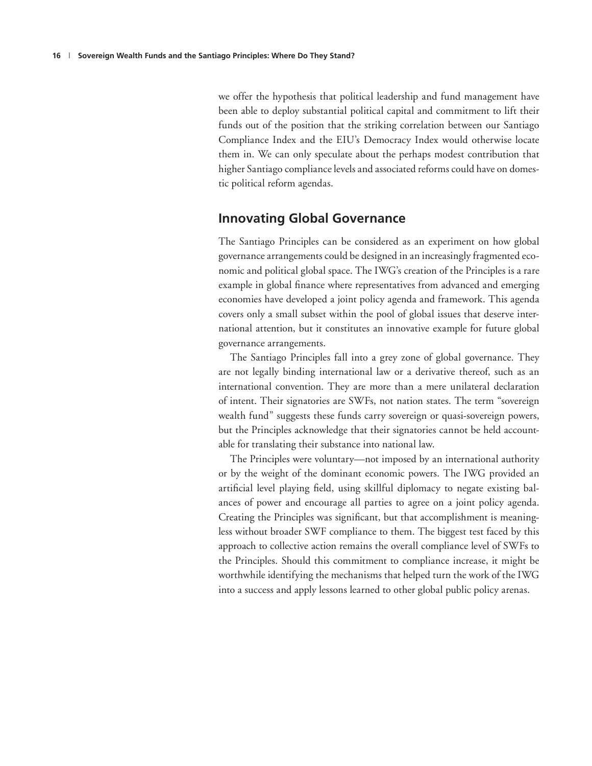we offer the hypothesis that political leadership and fund management have been able to deploy substantial political capital and commitment to lift their funds out of the position that the striking correlation between our Santiago Compliance Index and the EIU's Democracy Index would otherwise locate them in. We can only speculate about the perhaps modest contribution that higher Santiago compliance levels and associated reforms could have on domestic political reform agendas.

#### **Innovating Global Governance**

The Santiago Principles can be considered as an experiment on how global governance arrangements could be designed in an increasingly fragmented economic and political global space. The IWG's creation of the Principles is a rare example in global finance where representatives from advanced and emerging economies have developed a joint policy agenda and framework. This agenda covers only a small subset within the pool of global issues that deserve international attention, but it constitutes an innovative example for future global governance arrangements.

The Santiago Principles fall into a grey zone of global governance. They are not legally binding international law or a derivative thereof, such as an international convention. They are more than a mere unilateral declaration of intent. Their signatories are SWFs, not nation states. The term "sovereign wealth fund" suggests these funds carry sovereign or quasi-sovereign powers, but the Principles acknowledge that their signatories cannot be held accountable for translating their substance into national law.

The Principles were voluntary—not imposed by an international authority or by the weight of the dominant economic powers. The IWG provided an artificial level playing field, using skillful diplomacy to negate existing balances of power and encourage all parties to agree on a joint policy agenda. Creating the Principles was significant, but that accomplishment is meaningless without broader SWF compliance to them. The biggest test faced by this approach to collective action remains the overall compliance level of SWFs to the Principles. Should this commitment to compliance increase, it might be worthwhile identifying the mechanisms that helped turn the work of the IWG into a success and apply lessons learned to other global public policy arenas.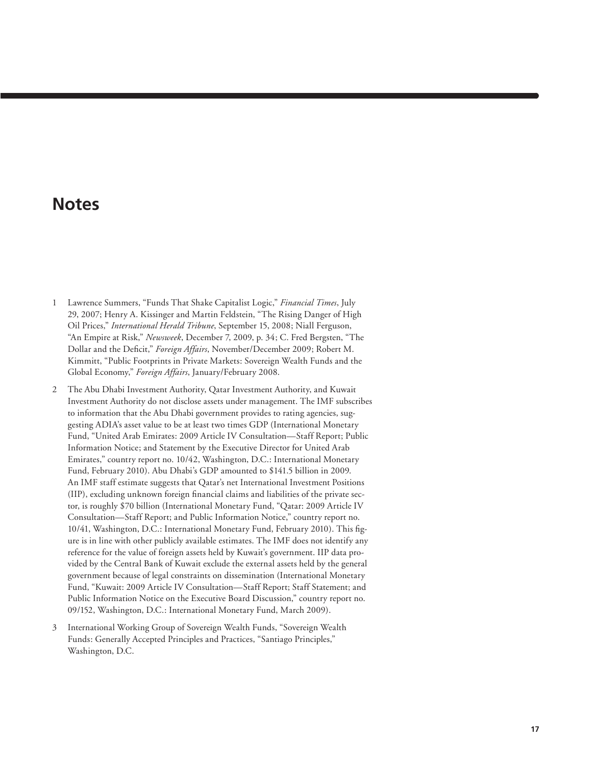## **Notes**

- 1 Lawrence Summers, "Funds That Shake Capitalist Logic," *Financial Times*, July 29, 2007; Henry A. Kissinger and Martin Feldstein, "The Rising Danger of High Oil Prices," *International Herald Tribune*, September 15, 2008; Niall Ferguson, "An Empire at Risk," *Newsweek*, December 7, 2009, p. 34; C. Fred Bergsten, "The Dollar and the Deficit," *Foreign Affairs*, November/December 2009; Robert M. Kimmitt, "Public Footprints in Private Markets: Sovereign Wealth Funds and the Global Economy," *Foreign Affairs*, January/February 2008.
- 2 The Abu Dhabi Investment Authority, Qatar Investment Authority, and Kuwait Investment Authority do not disclose assets under management. The IMF subscribes to information that the Abu Dhabi government provides to rating agencies, suggesting ADIA's asset value to be at least two times GDP (International Monetary Fund, "United Arab Emirates: 2009 Article IV Consultation—Staff Report; Public Information Notice; and Statement by the Executive Director for United Arab Emirates," country report no. 10/42, Washington, D.C.: International Monetary Fund, February 2010). Abu Dhabi's GDP amounted to \$141.5 billion in 2009. An IMF staff estimate suggests that Qatar's net International Investment Positions (IIP), excluding unknown foreign financial claims and liabilities of the private sector, is roughly \$70 billion (International Monetary Fund, "Qatar: 2009 Article IV Consultation—Staff Report; and Public Information Notice," country report no. 10/41, Washington, D.C.: International Monetary Fund, February 2010). This figure is in line with other publicly available estimates. The IMF does not identify any reference for the value of foreign assets held by Kuwait's government. IIP data provided by the Central Bank of Kuwait exclude the external assets held by the general government because of legal constraints on dissemination (International Monetary Fund, "Kuwait: 2009 Article IV Consultation—Staff Report; Staff Statement; and Public Information Notice on the Executive Board Discussion," country report no. 09/152, Washington, D.C.: International Monetary Fund, March 2009).
- 3 International Working Group of Sovereign Wealth Funds, "Sovereign Wealth Funds: Generally Accepted Principles and Practices, "Santiago Principles," Washington, D.C.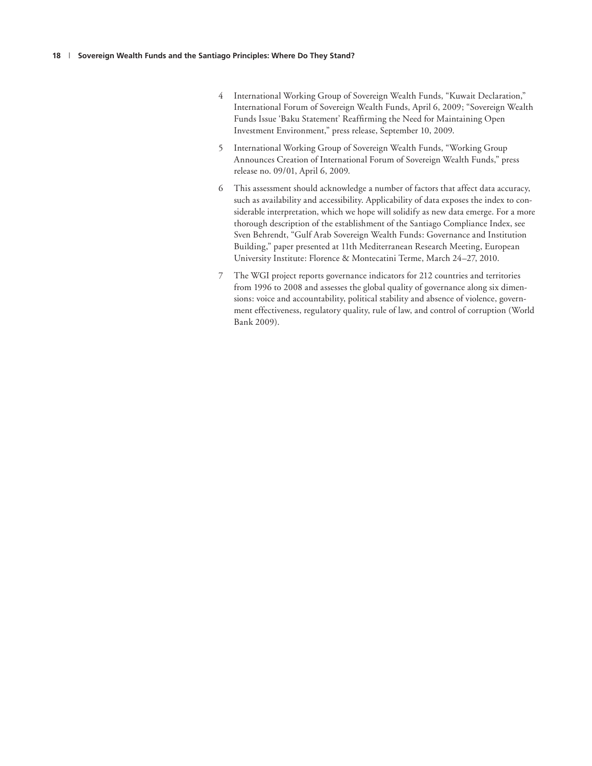- 4 International Working Group of Sovereign Wealth Funds, "Kuwait Declaration," International Forum of Sovereign Wealth Funds, April 6, 2009; "Sovereign Wealth Funds Issue 'Baku Statement' Reaffirming the Need for Maintaining Open Investment Environment," press release, September 10, 2009.
- 5 International Working Group of Sovereign Wealth Funds, "Working Group Announces Creation of International Forum of Sovereign Wealth Funds," press release no. 09/01, April 6, 2009.
- 6 This assessment should acknowledge a number of factors that affect data accuracy, such as availability and accessibility. Applicability of data exposes the index to considerable interpretation, which we hope will solidify as new data emerge. For a more thorough description of the establishment of the Santiago Compliance Index, see Sven Behrendt, "Gulf Arab Sovereign Wealth Funds: Governance and Institution Building," paper presented at 11th Mediterranean Research Meeting, European University Institute: Florence & Montecatini Terme, March 24–27, 2010.
- 7 The WGI project reports governance indicators for 212 countries and territories from 1996 to 2008 and assesses the global quality of governance along six dimensions: voice and accountability, political stability and absence of violence, government effectiveness, regulatory quality, rule of law, and control of corruption (World Bank 2009).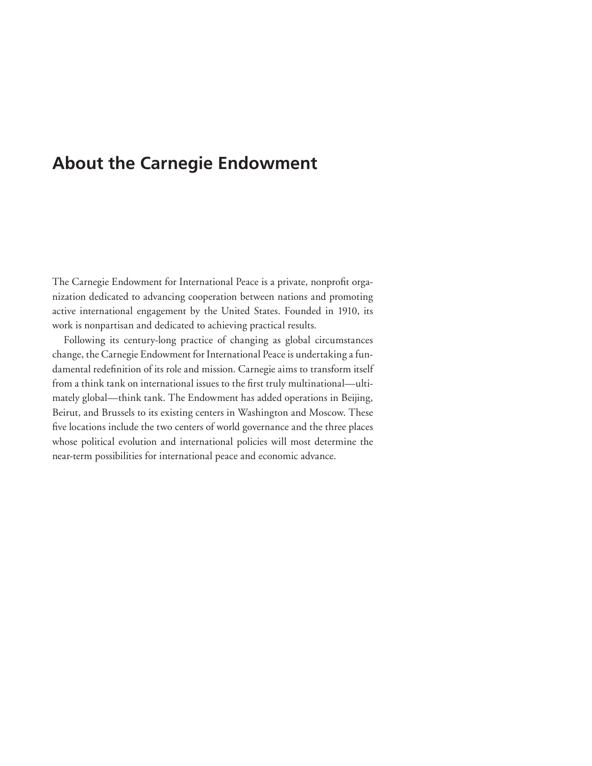## **About the Carnegie Endowment**

The Carnegie Endowment for International Peace is a private, nonprofit organization dedicated to advancing cooperation between nations and promoting active international engagement by the United States. Founded in 1910, its work is nonpartisan and dedicated to achieving practical results.

Following its century-long practice of changing as global circumstances change, the Carnegie Endowment for International Peace is undertaking a fundamental redefinition of its role and mission. Carnegie aims to transform itself from a think tank on international issues to the first truly multinational—ultimately global—think tank. The Endowment has added operations in Beijing, Beirut, and Brussels to its existing centers in Washington and Moscow. These five locations include the two centers of world governance and the three places whose political evolution and international policies will most determine the near-term possibilities for international peace and economic advance.